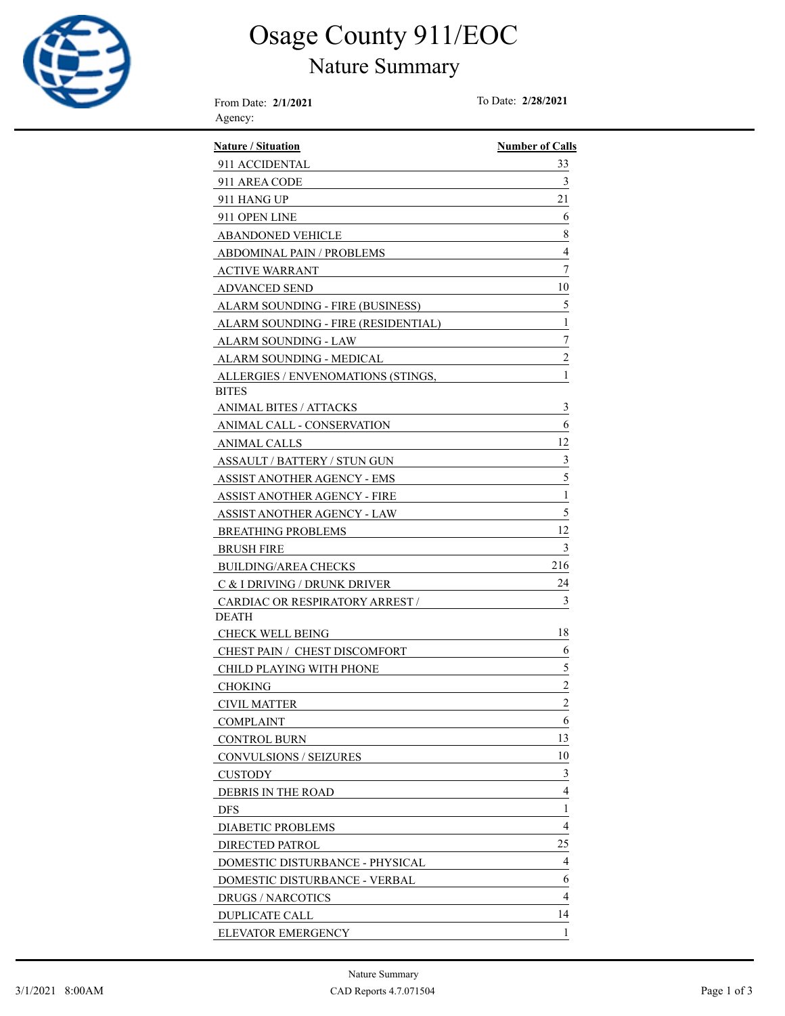

# Osage County 911/EOC

#### Nature Summary

From Date: **2/1/2021** To Date: **2/28/2021** Agency:

| <b>Nature / Situation</b>              | <b>Number of Calls</b> |
|----------------------------------------|------------------------|
| 911 ACCIDENTAL                         | 33                     |
| 911 AREA CODE                          | 3                      |
| 911 HANG UP                            | 21                     |
| 911 OPEN LINE                          | 6                      |
| <b>ABANDONED VEHICLE</b>               | 8                      |
| <b>ABDOMINAL PAIN / PROBLEMS</b>       | 4                      |
| <b>ACTIVE WARRANT</b>                  | 7                      |
| <b>ADVANCED SEND</b>                   | 10                     |
| ALARM SOUNDING - FIRE (BUSINESS)       | 5                      |
| ALARM SOUNDING - FIRE (RESIDENTIAL)    | 1                      |
| ALARM SOUNDING - LAW                   | 7                      |
| ALARM SOUNDING - MEDICAL               | $\overline{c}$         |
| ALLERGIES / ENVENOMATIONS (STINGS,     | 1                      |
| <b>BITES</b>                           |                        |
| ANIMAL BITES / ATTACKS                 | 3                      |
| ANIMAL CALL - CONSERVATION             | 6                      |
| <b>ANIMAL CALLS</b>                    | 12                     |
| ASSAULT / BATTERY / STUN GUN           | $\mathfrak{Z}$         |
| ASSIST ANOTHER AGENCY - EMS            | 5                      |
| ASSIST ANOTHER AGENCY - FIRE           | $\,1$                  |
| <b>ASSIST ANOTHER AGENCY - LAW</b>     | 5                      |
| <b>BREATHING PROBLEMS</b>              | 12                     |
| <b>BRUSH FIRE</b>                      | 3                      |
| <b>BUILDING/AREA CHECKS</b>            | 216                    |
| C & I DRIVING / DRUNK DRIVER           | 24                     |
| <b>CARDIAC OR RESPIRATORY ARREST /</b> | 3                      |
| <b>DEATH</b>                           |                        |
| <b>CHECK WELL BEING</b>                | 18                     |
| CHEST PAIN / CHEST DISCOMFORT          | 6                      |
| CHILD PLAYING WITH PHONE               | 5                      |
| <b>CHOKING</b>                         | $\overline{c}$         |
| CIVIL MATTER                           | $\overline{c}$         |
| <b>COMPLAINT</b>                       | 6                      |
| <b>CONTROL BURN</b>                    | 13                     |
| CONVULSIONS / SEIZURES                 | 10                     |
| <b>CUSTODY</b>                         | 3                      |
| <b>DEBRIS IN THE ROAD</b>              | 4                      |
| <b>DFS</b>                             | 1                      |
| DIABETIC PROBLEMS                      | 4                      |
| <b>DIRECTED PATROL</b>                 | 25                     |
| DOMESTIC DISTURBANCE - PHYSICAL        | 4                      |
| DOMESTIC DISTURBANCE - VERBAL          | 6                      |
| <b>DRUGS / NARCOTICS</b>               | $\overline{4}$         |
| <b>DUPLICATE CALL</b>                  | 14                     |
| ELEVATOR EMERGENCY                     | 1                      |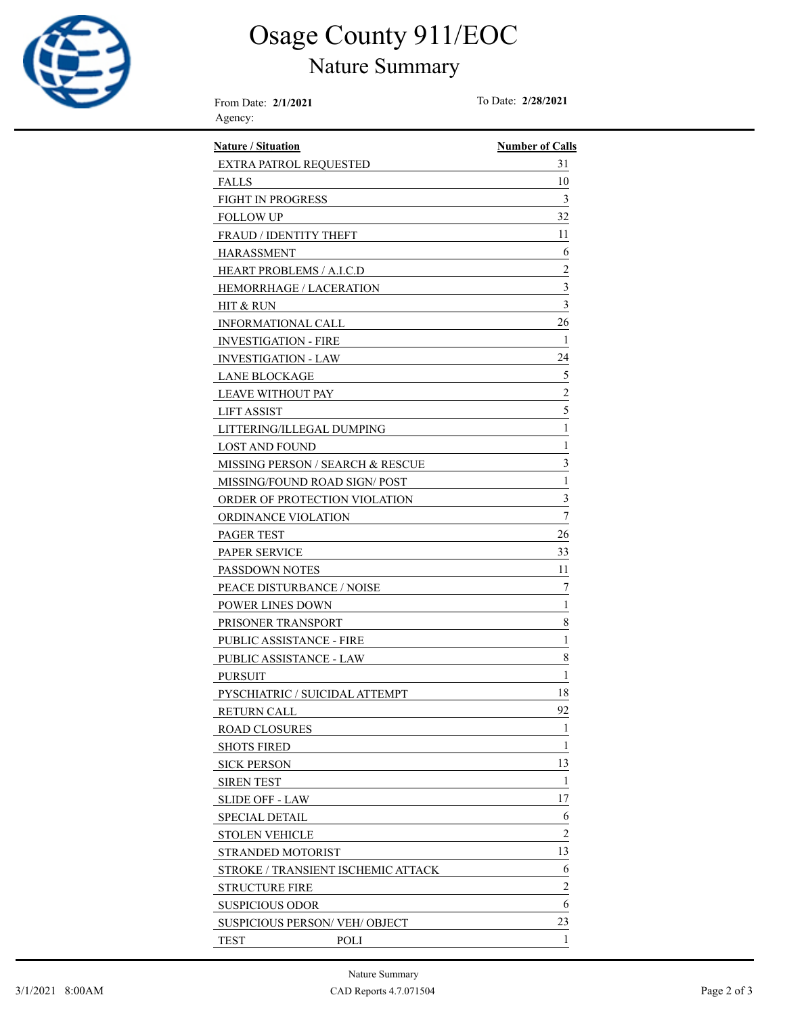

### Osage County 911/EOC

#### Nature Summary

From Date: **2/1/2021** To Date: **2/28/2021** Agency:

| <b>Nature / Situation</b>           | <b>Number of Calls</b>  |
|-------------------------------------|-------------------------|
| <b>EXTRA PATROL REQUESTED</b>       | 31                      |
| <b>FALLS</b>                        | 10                      |
| <b>FIGHT IN PROGRESS</b>            | 3                       |
| FOLLOW UP                           | 32                      |
| <b>FRAUD / IDENTITY THEFT</b>       | 11                      |
| <b>HARASSMENT</b>                   | 6                       |
| HEART PROBLEMS / A.I.C.D            | $\overline{\mathbf{c}}$ |
| <b>HEMORRHAGE / LACERATION</b>      | 3                       |
| HIT & RUN                           | 3                       |
| INFORMATIONAL CALL                  | 26                      |
| <b>INVESTIGATION - FIRE</b>         | 1                       |
| <b>INVESTIGATION - LAW</b>          | 24                      |
| <b>LANE BLOCKAGE</b>                | 5                       |
| LEAVE WITHOUT PAY                   | $\overline{c}$          |
| LIFT ASSIST                         | 5                       |
| LITTERING/ILLEGAL DUMPING           | 1                       |
| LOST AND FOUND                      | 1                       |
| MISSING PERSON / SEARCH & RESCUE    | 3                       |
| MISSING/FOUND ROAD SIGN/ POST       | 1                       |
| ORDER OF PROTECTION VIOLATION       | 3                       |
| ORDINANCE VIOLATION                 | 7                       |
| PAGER TEST                          | 26                      |
| <b>PAPER SERVICE</b>                | 33                      |
| PASSDOWN NOTES                      | 11                      |
| PEACE DISTURBANCE / NOISE           | 7                       |
| <b>POWER LINES DOWN</b>             | 1                       |
| PRISONER TRANSPORT                  | 8                       |
| PUBLIC ASSISTANCE - FIRE            | 1                       |
| <b>PUBLIC ASSISTANCE - LAW</b>      | 8                       |
| <b>PURSUIT</b>                      | 1                       |
| PYSCHIATRIC / SUICIDAL ATTEMPT      | 18                      |
| <b>RETURN CALL</b>                  | 92                      |
| <b>ROAD CLOSURES</b>                | 1                       |
| SHOTS FIRED                         | 1                       |
| SICK PERSON                         | 13                      |
| <b>SIREN TEST</b>                   | 1                       |
| <b>SLIDE OFF - LAW</b>              | 17                      |
| SPECIAL DETAIL                      | 6                       |
| <b>STOLEN VEHICLE</b>               | 2                       |
| STRANDED MOTORIST                   | 13                      |
| STROKE / TRANSIENT ISCHEMIC ATTACK  | 6                       |
| STRUCTURE FIRE                      | $\overline{c}$          |
| SUSPICIOUS ODOR                     | 6                       |
| <b>SUSPICIOUS PERSON/VEH/OBJECT</b> | 23                      |
| <b>TEST</b><br>POLI                 | 1                       |